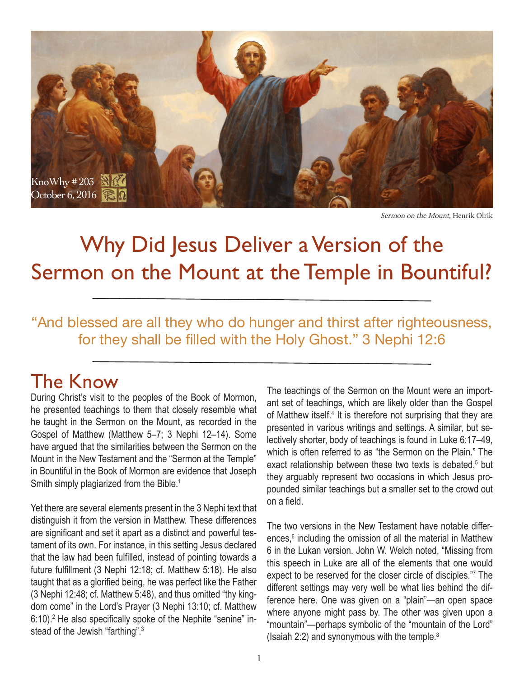

Sermon on the Mount, Henrik Olrik

# Why Did Jesus Deliver a Version of the Sermon on the Mount at the Temple in Bountiful?

"And blessed are all they who do hunger and thirst after righteousness, for they shall be filled with the Holy Ghost." 3 Nephi 12:6

### The Know

During Christ's visit to the peoples of the Book of Mormon, he presented teachings to them that closely resemble what he taught in the Sermon on the Mount, as recorded in the Gospel of Matthew (Matthew 5–7; 3 Nephi 12–14). Some have argued that the similarities between the Sermon on the Mount in the New Testament and the "Sermon at the Temple" in Bountiful in the Book of Mormon are evidence that Joseph Smith simply plagiarized from the Bible.<sup>1</sup>

Yet there are several elements present in the 3 Nephi text that distinguish it from the version in Matthew. These differences are significant and set it apart as a distinct and powerful testament of its own. For instance, in this setting Jesus declared that the law had been fulfilled, instead of pointing towards a future fulfillment (3 Nephi 12:18; cf. Matthew 5:18). He also taught that as a glorified being, he was perfect like the Father (3 Nephi 12:48; cf. Matthew 5:48), and thus omitted "thy kingdom come" in the Lord's Prayer (3 Nephi 13:10; cf. Matthew 6:10).<sup>2</sup> He also specifically spoke of the Nephite "senine" instead of the Jewish "farthing".<sup>3</sup>

The teachings of the Sermon on the Mount were an important set of teachings, which are likely older than the Gospel of Matthew itself.<sup>4</sup> It is therefore not surprising that they are presented in various writings and settings. A similar, but selectively shorter, body of teachings is found in Luke 6:17–49, which is often referred to as "the Sermon on the Plain." The exact relationship between these two texts is debated,<sup>5</sup> but they arguably represent two occasions in which Jesus propounded similar teachings but a smaller set to the crowd out on a field.

The two versions in the New Testament have notable differences,<sup>6</sup> including the omission of all the material in Matthew 6 in the Lukan version. John W. Welch noted, "Missing from this speech in Luke are all of the elements that one would expect to be reserved for the closer circle of disciples."7 The different settings may very well be what lies behind the difference here. One was given on a "plain"—an open space where anyone might pass by. The other was given upon a "mountain"—perhaps symbolic of the "mountain of the Lord" (Isaiah 2:2) and synonymous with the temple. $8$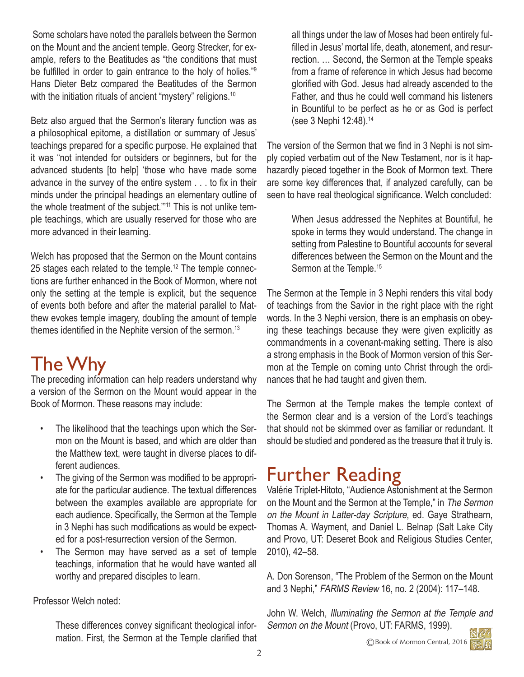Some scholars have noted the parallels between the Sermon on the Mount and the ancient temple. Georg Strecker, for example, refers to the Beatitudes as "the conditions that must be fulfilled in order to gain entrance to the holy of holies."<sup>9</sup> Hans Dieter Betz compared the Beatitudes of the Sermon with the initiation rituals of ancient "mystery" religions.<sup>10</sup>

Betz also argued that the Sermon's literary function was as a philosophical epitome, a distillation or summary of Jesus' teachings prepared for a specific purpose. He explained that it was "not intended for outsiders or beginners, but for the advanced students [to help] 'those who have made some advance in the survey of the entire system . . . to fix in their minds under the principal headings an elementary outline of the whole treatment of the subject."<sup>11</sup> This is not unlike temple teachings, which are usually reserved for those who are more advanced in their learning.

Welch has proposed that the Sermon on the Mount contains 25 stages each related to the temple.<sup>12</sup> The temple connections are further enhanced in the Book of Mormon, where not only the setting at the temple is explicit, but the sequence of events both before and after the material parallel to Matthew evokes temple imagery, doubling the amount of temple themes identified in the Nephite version of the sermon.<sup>13</sup>

## The Why

The preceding information can help readers understand why a version of the Sermon on the Mount would appear in the Book of Mormon. These reasons may include:

- The likelihood that the teachings upon which the Sermon on the Mount is based, and which are older than the Matthew text, were taught in diverse places to different audiences.
- The giving of the Sermon was modified to be appropriate for the particular audience. The textual differences between the examples available are appropriate for each audience. Specifically, the Sermon at the Temple in 3 Nephi has such modifications as would be expected for a post-resurrection version of the Sermon.
- The Sermon may have served as a set of temple teachings, information that he would have wanted all worthy and prepared disciples to learn.

Professor Welch noted:

These differences convey significant theological information. First, the Sermon at the Temple clarified that all things under the law of Moses had been entirely fulfilled in Jesus' mortal life, death, atonement, and resurrection. … Second, the Sermon at the Temple speaks from a frame of reference in which Jesus had become glorified with God. Jesus had already ascended to the Father, and thus he could well command his listeners in Bountiful to be perfect as he or as God is perfect (see 3 Nephi 12:48).<sup>14</sup>

The version of the Sermon that we find in 3 Nephi is not simply copied verbatim out of the New Testament, nor is it haphazardly pieced together in the Book of Mormon text. There are some key differences that, if analyzed carefully, can be seen to have real theological significance. Welch concluded:

> When Jesus addressed the Nephites at Bountiful, he spoke in terms they would understand. The change in setting from Palestine to Bountiful accounts for several differences between the Sermon on the Mount and the Sermon at the Temple.<sup>15</sup>

The Sermon at the Temple in 3 Nephi renders this vital body of teachings from the Savior in the right place with the right words. In the 3 Nephi version, there is an emphasis on obeying these teachings because they were given explicitly as commandments in a covenant-making setting. There is also a strong emphasis in the Book of Mormon version of this Sermon at the Temple on coming unto Christ through the ordinances that he had taught and given them.

The Sermon at the Temple makes the temple context of the Sermon clear and is a version of the Lord's teachings that should not be skimmed over as familiar or redundant. It should be studied and pondered as the treasure that it truly is.

### Further Reading

Valérie Triplet-Hitoto, "Audience Astonishment at the Sermon on the Mount and the Sermon at the Temple," in The Sermon on the Mount in Latter-day Scripture, ed. Gaye Strathearn, Thomas A. Wayment, and Daniel L. Belnap (Salt Lake City and Provo, UT: Deseret Book and Religious Studies Center, 2010), 42–58.

A. Don Sorenson, "The Problem of the Sermon on the Mount and 3 Nephi," FARMS Review 16, no. 2 (2004): 117–148.

John W. Welch, Illuminating the Sermon at the Temple and Sermon on the Mount (Provo, UT: FARMS, 1999).

©Book of Mormon Central, 2016